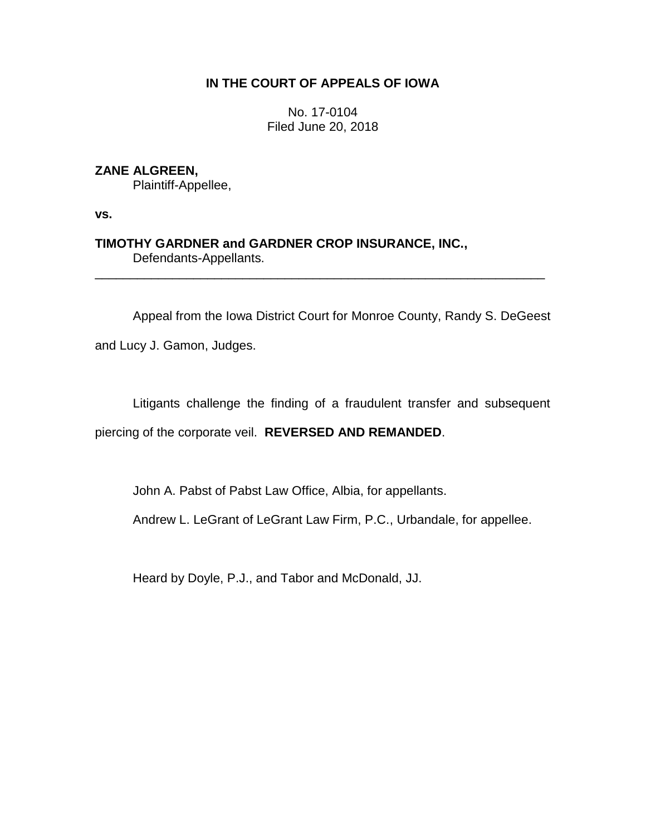### **IN THE COURT OF APPEALS OF IOWA**

No. 17-0104 Filed June 20, 2018

# **ZANE ALGREEN,**

Plaintiff-Appellee,

**vs.**

**TIMOTHY GARDNER and GARDNER CROP INSURANCE, INC.,** Defendants-Appellants.

Appeal from the Iowa District Court for Monroe County, Randy S. DeGeest

\_\_\_\_\_\_\_\_\_\_\_\_\_\_\_\_\_\_\_\_\_\_\_\_\_\_\_\_\_\_\_\_\_\_\_\_\_\_\_\_\_\_\_\_\_\_\_\_\_\_\_\_\_\_\_\_\_\_\_\_\_\_\_\_

and Lucy J. Gamon, Judges.

Litigants challenge the finding of a fraudulent transfer and subsequent piercing of the corporate veil. **REVERSED AND REMANDED**.

John A. Pabst of Pabst Law Office, Albia, for appellants.

Andrew L. LeGrant of LeGrant Law Firm, P.C., Urbandale, for appellee.

Heard by Doyle, P.J., and Tabor and McDonald, JJ.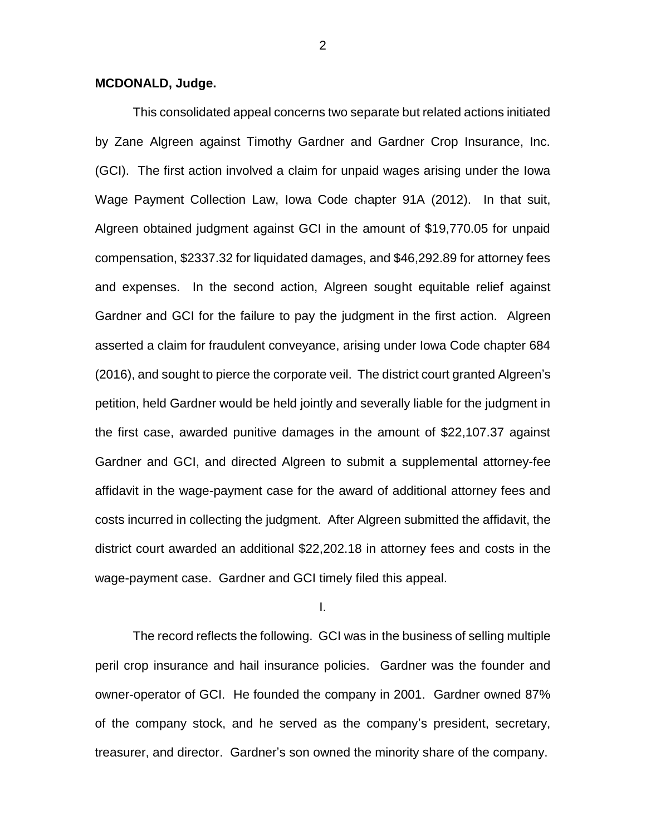### **MCDONALD, Judge.**

This consolidated appeal concerns two separate but related actions initiated by Zane Algreen against Timothy Gardner and Gardner Crop Insurance, Inc. (GCI). The first action involved a claim for unpaid wages arising under the Iowa Wage Payment Collection Law, Iowa Code chapter 91A (2012). In that suit, Algreen obtained judgment against GCI in the amount of \$19,770.05 for unpaid compensation, \$2337.32 for liquidated damages, and \$46,292.89 for attorney fees and expenses. In the second action, Algreen sought equitable relief against Gardner and GCI for the failure to pay the judgment in the first action. Algreen asserted a claim for fraudulent conveyance, arising under Iowa Code chapter 684 (2016), and sought to pierce the corporate veil. The district court granted Algreen's petition, held Gardner would be held jointly and severally liable for the judgment in the first case, awarded punitive damages in the amount of \$22,107.37 against Gardner and GCI, and directed Algreen to submit a supplemental attorney-fee affidavit in the wage-payment case for the award of additional attorney fees and costs incurred in collecting the judgment. After Algreen submitted the affidavit, the district court awarded an additional \$22,202.18 in attorney fees and costs in the wage-payment case. Gardner and GCI timely filed this appeal.

I.

The record reflects the following. GCI was in the business of selling multiple peril crop insurance and hail insurance policies. Gardner was the founder and owner-operator of GCI. He founded the company in 2001. Gardner owned 87% of the company stock, and he served as the company's president, secretary, treasurer, and director. Gardner's son owned the minority share of the company.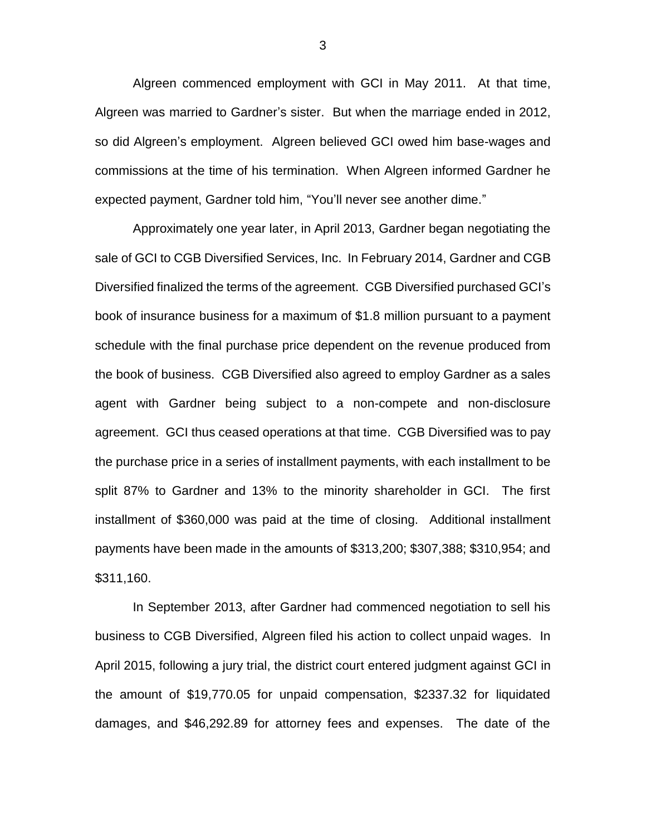Algreen commenced employment with GCI in May 2011. At that time, Algreen was married to Gardner's sister. But when the marriage ended in 2012, so did Algreen's employment. Algreen believed GCI owed him base-wages and commissions at the time of his termination. When Algreen informed Gardner he expected payment, Gardner told him, "You'll never see another dime."

Approximately one year later, in April 2013, Gardner began negotiating the sale of GCI to CGB Diversified Services, Inc. In February 2014, Gardner and CGB Diversified finalized the terms of the agreement. CGB Diversified purchased GCI's book of insurance business for a maximum of \$1.8 million pursuant to a payment schedule with the final purchase price dependent on the revenue produced from the book of business. CGB Diversified also agreed to employ Gardner as a sales agent with Gardner being subject to a non-compete and non-disclosure agreement. GCI thus ceased operations at that time. CGB Diversified was to pay the purchase price in a series of installment payments, with each installment to be split 87% to Gardner and 13% to the minority shareholder in GCI. The first installment of \$360,000 was paid at the time of closing. Additional installment payments have been made in the amounts of \$313,200; \$307,388; \$310,954; and \$311,160.

In September 2013, after Gardner had commenced negotiation to sell his business to CGB Diversified, Algreen filed his action to collect unpaid wages. In April 2015, following a jury trial, the district court entered judgment against GCI in the amount of \$19,770.05 for unpaid compensation, \$2337.32 for liquidated damages, and \$46,292.89 for attorney fees and expenses. The date of the

3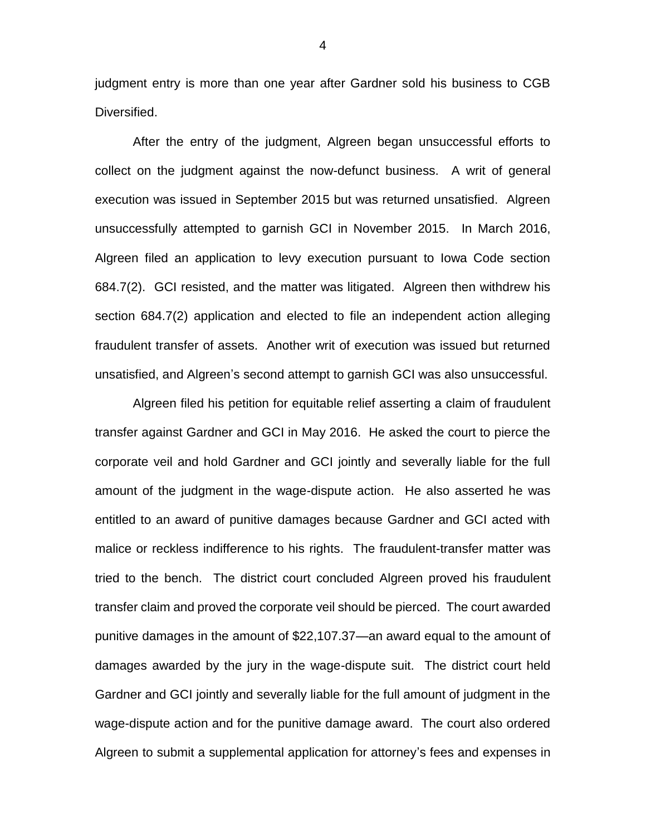judgment entry is more than one year after Gardner sold his business to CGB Diversified.

After the entry of the judgment, Algreen began unsuccessful efforts to collect on the judgment against the now-defunct business. A writ of general execution was issued in September 2015 but was returned unsatisfied. Algreen unsuccessfully attempted to garnish GCI in November 2015. In March 2016, Algreen filed an application to levy execution pursuant to Iowa Code section 684.7(2). GCI resisted, and the matter was litigated. Algreen then withdrew his section 684.7(2) application and elected to file an independent action alleging fraudulent transfer of assets. Another writ of execution was issued but returned unsatisfied, and Algreen's second attempt to garnish GCI was also unsuccessful.

Algreen filed his petition for equitable relief asserting a claim of fraudulent transfer against Gardner and GCI in May 2016. He asked the court to pierce the corporate veil and hold Gardner and GCI jointly and severally liable for the full amount of the judgment in the wage-dispute action. He also asserted he was entitled to an award of punitive damages because Gardner and GCI acted with malice or reckless indifference to his rights. The fraudulent-transfer matter was tried to the bench. The district court concluded Algreen proved his fraudulent transfer claim and proved the corporate veil should be pierced. The court awarded punitive damages in the amount of \$22,107.37—an award equal to the amount of damages awarded by the jury in the wage-dispute suit. The district court held Gardner and GCI jointly and severally liable for the full amount of judgment in the wage-dispute action and for the punitive damage award. The court also ordered Algreen to submit a supplemental application for attorney's fees and expenses in

4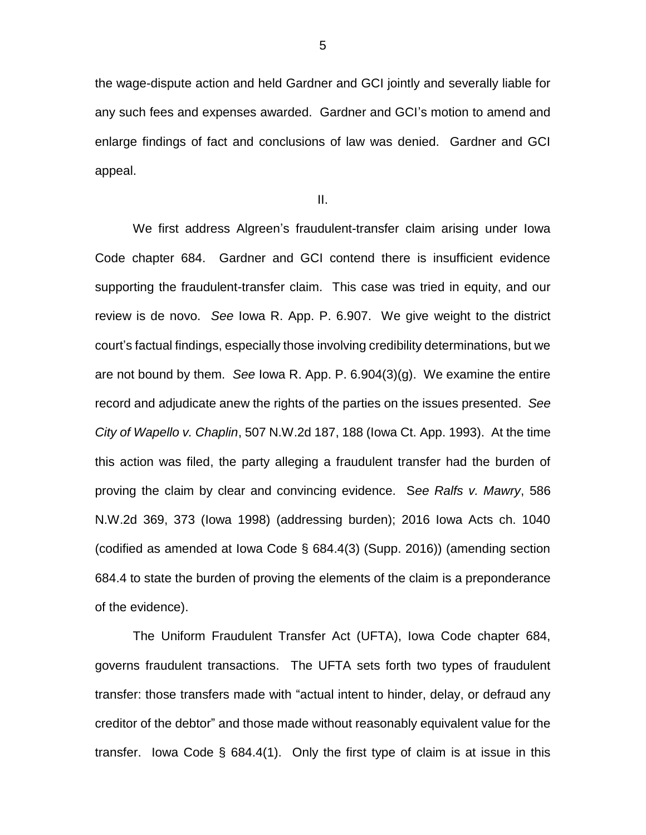the wage-dispute action and held Gardner and GCI jointly and severally liable for any such fees and expenses awarded. Gardner and GCI's motion to amend and enlarge findings of fact and conclusions of law was denied. Gardner and GCI appeal.

II.

We first address Algreen's fraudulent-transfer claim arising under Iowa Code chapter 684. Gardner and GCI contend there is insufficient evidence supporting the fraudulent-transfer claim. This case was tried in equity, and our review is de novo. *See* Iowa R. App. P. 6.907. We give weight to the district court's factual findings, especially those involving credibility determinations, but we are not bound by them. *See* Iowa R. App. P. 6.904(3)(g). We examine the entire record and adjudicate anew the rights of the parties on the issues presented. *See City of Wapello v. Chaplin*, 507 N.W.2d 187, 188 (Iowa Ct. App. 1993). At the time this action was filed, the party alleging a fraudulent transfer had the burden of proving the claim by clear and convincing evidence. S*ee Ralfs v. Mawry*, 586 N.W.2d 369, 373 (Iowa 1998) (addressing burden); 2016 Iowa Acts ch. 1040 (codified as amended at Iowa Code § 684.4(3) (Supp. 2016)) (amending section 684.4 to state the burden of proving the elements of the claim is a preponderance of the evidence).

The Uniform Fraudulent Transfer Act (UFTA), Iowa Code chapter 684, governs fraudulent transactions. The UFTA sets forth two types of fraudulent transfer: those transfers made with "actual intent to hinder, delay, or defraud any creditor of the debtor" and those made without reasonably equivalent value for the transfer. Iowa Code § 684.4(1). Only the first type of claim is at issue in this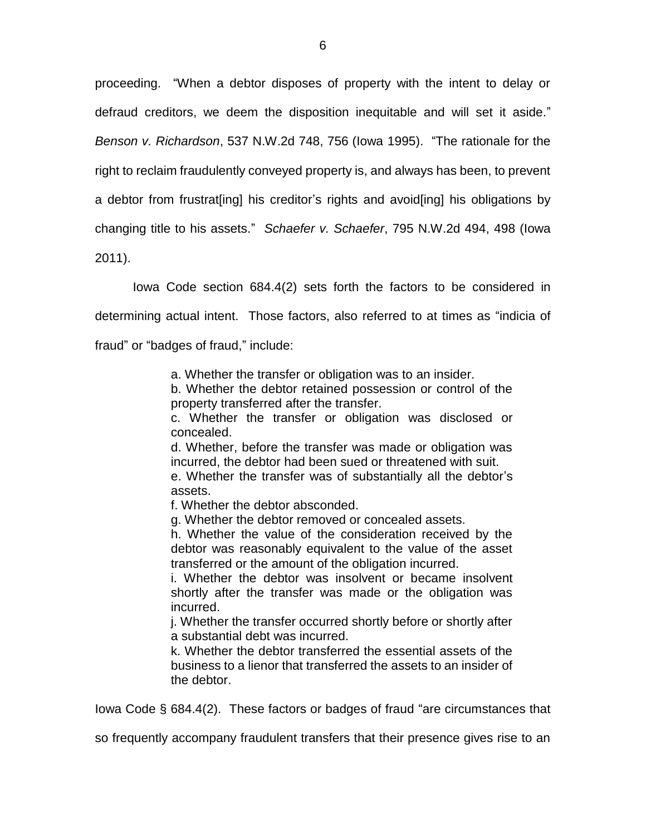proceeding. "When a debtor disposes of property with the intent to delay or defraud creditors, we deem the disposition inequitable and will set it aside." *Benson v. Richardson*, 537 N.W.2d 748, 756 (Iowa 1995). "The rationale for the right to reclaim fraudulently conveyed property is, and always has been, to prevent a debtor from frustrat[ing] his creditor's rights and avoid[ing] his obligations by changing title to his assets." *Schaefer v. Schaefer*, 795 N.W.2d 494, 498 (Iowa 2011).

Iowa Code section 684.4(2) sets forth the factors to be considered in determining actual intent. Those factors, also referred to at times as "indicia of fraud" or "badges of fraud," include:

a. Whether the transfer or obligation was to an insider.

b. Whether the debtor retained possession or control of the property transferred after the transfer.

c. Whether the transfer or obligation was disclosed or concealed.

d. Whether, before the transfer was made or obligation was incurred, the debtor had been sued or threatened with suit.

e. Whether the transfer was of substantially all the debtor's assets.

f. Whether the debtor absconded.

g. Whether the debtor removed or concealed assets.

h. Whether the value of the consideration received by the debtor was reasonably equivalent to the value of the asset transferred or the amount of the obligation incurred.

i. Whether the debtor was insolvent or became insolvent shortly after the transfer was made or the obligation was incurred.

j. Whether the transfer occurred shortly before or shortly after a substantial debt was incurred.

k. Whether the debtor transferred the essential assets of the business to a lienor that transferred the assets to an insider of the debtor.

Iowa Code § 684.4(2). These factors or badges of fraud "are circumstances that

so frequently accompany fraudulent transfers that their presence gives rise to an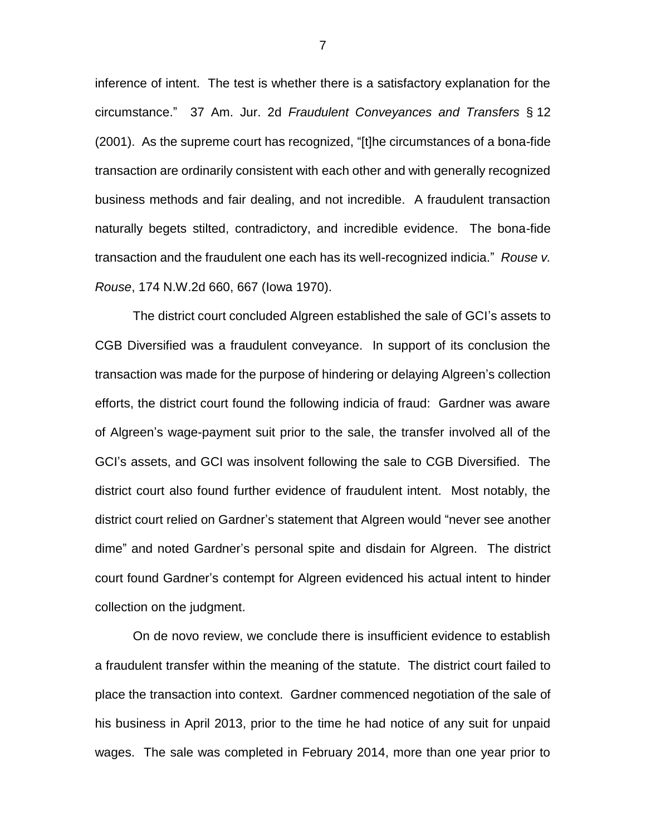inference of intent. The test is whether there is a satisfactory explanation for the circumstance." 37 Am. Jur. 2d *Fraudulent Conveyances and Transfers* § 12 (2001). As the supreme court has recognized, "[t]he circumstances of a bona-fide transaction are ordinarily consistent with each other and with generally recognized business methods and fair dealing, and not incredible. A fraudulent transaction naturally begets stilted, contradictory, and incredible evidence. The bona-fide transaction and the fraudulent one each has its well-recognized indicia." *Rouse v. Rouse*, 174 N.W.2d 660, 667 (Iowa 1970).

The district court concluded Algreen established the sale of GCI's assets to CGB Diversified was a fraudulent conveyance. In support of its conclusion the transaction was made for the purpose of hindering or delaying Algreen's collection efforts, the district court found the following indicia of fraud: Gardner was aware of Algreen's wage-payment suit prior to the sale, the transfer involved all of the GCI's assets, and GCI was insolvent following the sale to CGB Diversified. The district court also found further evidence of fraudulent intent. Most notably, the district court relied on Gardner's statement that Algreen would "never see another dime" and noted Gardner's personal spite and disdain for Algreen. The district court found Gardner's contempt for Algreen evidenced his actual intent to hinder collection on the judgment.

On de novo review, we conclude there is insufficient evidence to establish a fraudulent transfer within the meaning of the statute. The district court failed to place the transaction into context. Gardner commenced negotiation of the sale of his business in April 2013, prior to the time he had notice of any suit for unpaid wages. The sale was completed in February 2014, more than one year prior to

7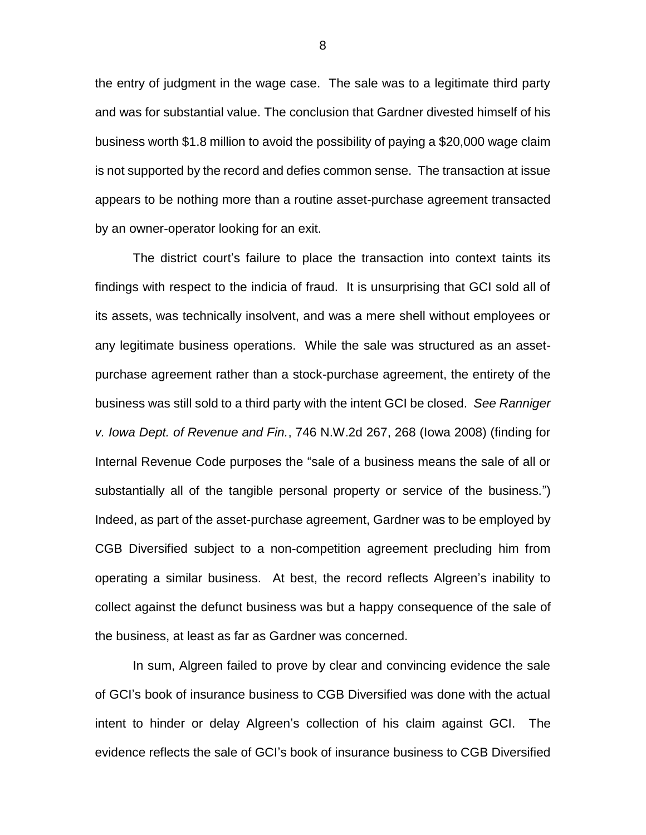the entry of judgment in the wage case. The sale was to a legitimate third party and was for substantial value. The conclusion that Gardner divested himself of his business worth \$1.8 million to avoid the possibility of paying a \$20,000 wage claim is not supported by the record and defies common sense. The transaction at issue appears to be nothing more than a routine asset-purchase agreement transacted by an owner-operator looking for an exit.

The district court's failure to place the transaction into context taints its findings with respect to the indicia of fraud. It is unsurprising that GCI sold all of its assets, was technically insolvent, and was a mere shell without employees or any legitimate business operations. While the sale was structured as an assetpurchase agreement rather than a stock-purchase agreement, the entirety of the business was still sold to a third party with the intent GCI be closed. *See Ranniger v. Iowa Dept. of Revenue and Fin.*, 746 N.W.2d 267, 268 (Iowa 2008) (finding for Internal Revenue Code purposes the "sale of a business means the sale of all or substantially all of the tangible personal property or service of the business.") Indeed, as part of the asset-purchase agreement, Gardner was to be employed by CGB Diversified subject to a non-competition agreement precluding him from operating a similar business. At best, the record reflects Algreen's inability to collect against the defunct business was but a happy consequence of the sale of the business, at least as far as Gardner was concerned.

In sum, Algreen failed to prove by clear and convincing evidence the sale of GCI's book of insurance business to CGB Diversified was done with the actual intent to hinder or delay Algreen's collection of his claim against GCI. The evidence reflects the sale of GCI's book of insurance business to CGB Diversified

8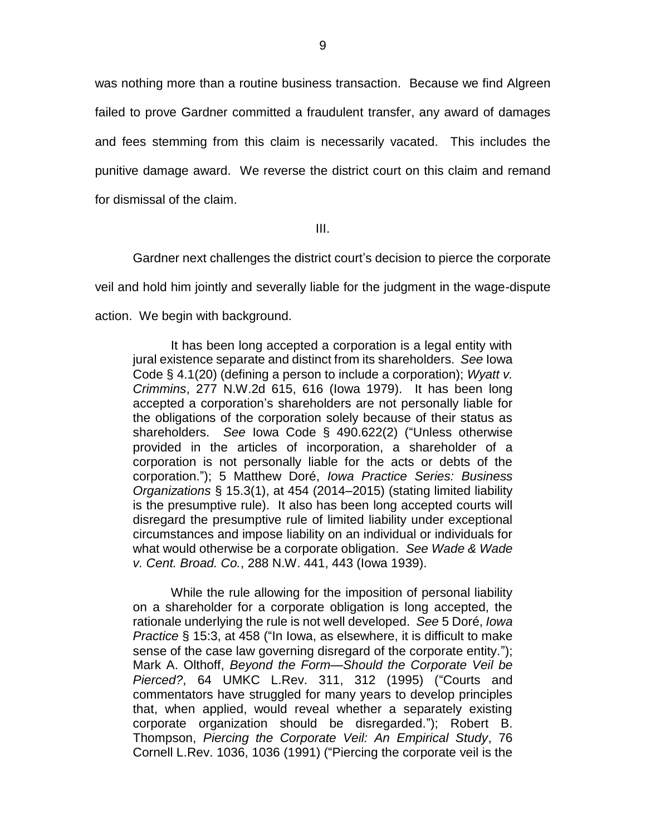was nothing more than a routine business transaction. Because we find Algreen failed to prove Gardner committed a fraudulent transfer, any award of damages and fees stemming from this claim is necessarily vacated. This includes the punitive damage award. We reverse the district court on this claim and remand for dismissal of the claim.

III.

Gardner next challenges the district court's decision to pierce the corporate veil and hold him jointly and severally liable for the judgment in the wage-dispute action. We begin with background.

It has been long accepted a corporation is a legal entity with jural existence separate and distinct from its shareholders. *See* Iowa Code § 4.1(20) (defining a person to include a corporation); *Wyatt v. Crimmins*, 277 N.W.2d 615, 616 (Iowa 1979). It has been long accepted a corporation's shareholders are not personally liable for the obligations of the corporation solely because of their status as shareholders. *See* Iowa Code § 490.622(2) ("Unless otherwise provided in the articles of incorporation, a shareholder of a corporation is not personally liable for the acts or debts of the corporation."); 5 Matthew Doré, *Iowa Practice Series: Business Organizations* § 15.3(1), at 454 (2014–2015) (stating limited liability is the presumptive rule). It also has been long accepted courts will disregard the presumptive rule of limited liability under exceptional circumstances and impose liability on an individual or individuals for what would otherwise be a corporate obligation. *See Wade & Wade v. Cent. Broad. Co.*, 288 N.W. 441, 443 (Iowa 1939).

While the rule allowing for the imposition of personal liability on a shareholder for a corporate obligation is long accepted, the rationale underlying the rule is not well developed. *See* 5 Doré, *Iowa Practice* § 15:3, at 458 ("In Iowa, as elsewhere, it is difficult to make sense of the case law governing disregard of the corporate entity."); Mark A. Olthoff, *Beyond the Form—Should the Corporate Veil be Pierced?*, 64 UMKC L.Rev. 311, 312 (1995) ("Courts and commentators have struggled for many years to develop principles that, when applied, would reveal whether a separately existing corporate organization should be disregarded."); Robert B. Thompson, *Piercing the Corporate Veil: An Empirical Study*, 76 Cornell L.Rev. 1036, 1036 (1991) ("Piercing the corporate veil is the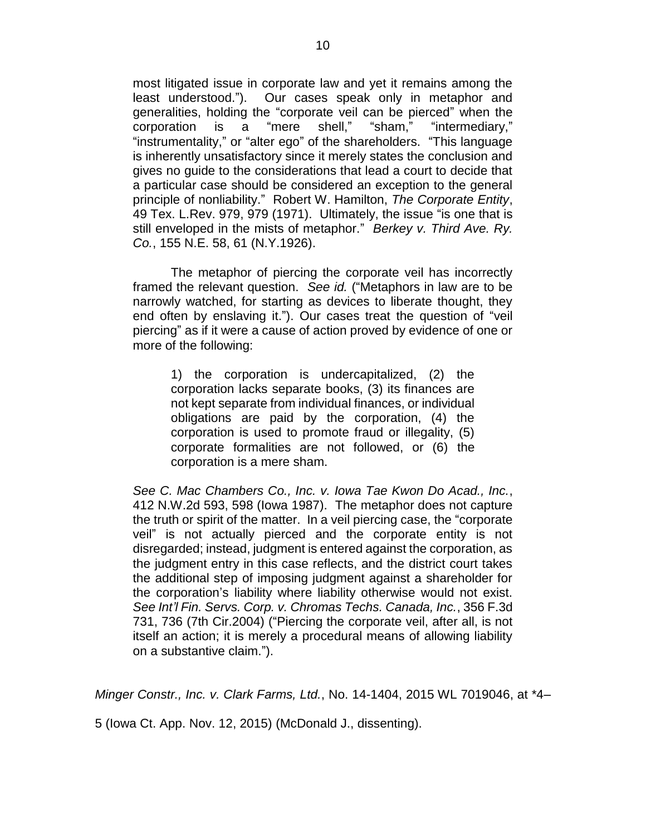most litigated issue in corporate law and yet it remains among the least understood."). Our cases speak only in metaphor and generalities, holding the "corporate veil can be pierced" when the corporation is a "mere shell," "sham," "intermediary," "instrumentality," or "alter ego" of the shareholders. "This language is inherently unsatisfactory since it merely states the conclusion and gives no guide to the considerations that lead a court to decide that a particular case should be considered an exception to the general principle of nonliability." Robert W. Hamilton, *The Corporate Entity*, 49 Tex. L.Rev. 979, 979 (1971). Ultimately, the issue "is one that is still enveloped in the mists of metaphor." *Berkey v. Third Ave. Ry. Co.*, 155 N.E. 58, 61 (N.Y.1926).

The metaphor of piercing the corporate veil has incorrectly framed the relevant question. *See id.* ("Metaphors in law are to be narrowly watched, for starting as devices to liberate thought, they end often by enslaving it."). Our cases treat the question of "veil piercing" as if it were a cause of action proved by evidence of one or more of the following:

1) the corporation is undercapitalized, (2) the corporation lacks separate books, (3) its finances are not kept separate from individual finances, or individual obligations are paid by the corporation, (4) the corporation is used to promote fraud or illegality, (5) corporate formalities are not followed, or (6) the corporation is a mere sham.

*See C. Mac Chambers Co., Inc. v. Iowa Tae Kwon Do Acad., Inc.*, 412 N.W.2d 593, 598 (Iowa 1987). The metaphor does not capture the truth or spirit of the matter. In a veil piercing case, the "corporate veil" is not actually pierced and the corporate entity is not disregarded; instead, judgment is entered against the corporation, as the judgment entry in this case reflects, and the district court takes the additional step of imposing judgment against a shareholder for the corporation's liability where liability otherwise would not exist. *See Int'l Fin. Servs. Corp. v. Chromas Techs. Canada, Inc.*, 356 F.3d 731, 736 (7th Cir.2004) ("Piercing the corporate veil, after all, is not itself an action; it is merely a procedural means of allowing liability on a substantive claim.").

*Minger Constr., Inc. v. Clark Farms, Ltd.*, No. 14-1404, 2015 WL 7019046, at \*4–

5 (Iowa Ct. App. Nov. 12, 2015) (McDonald J., dissenting).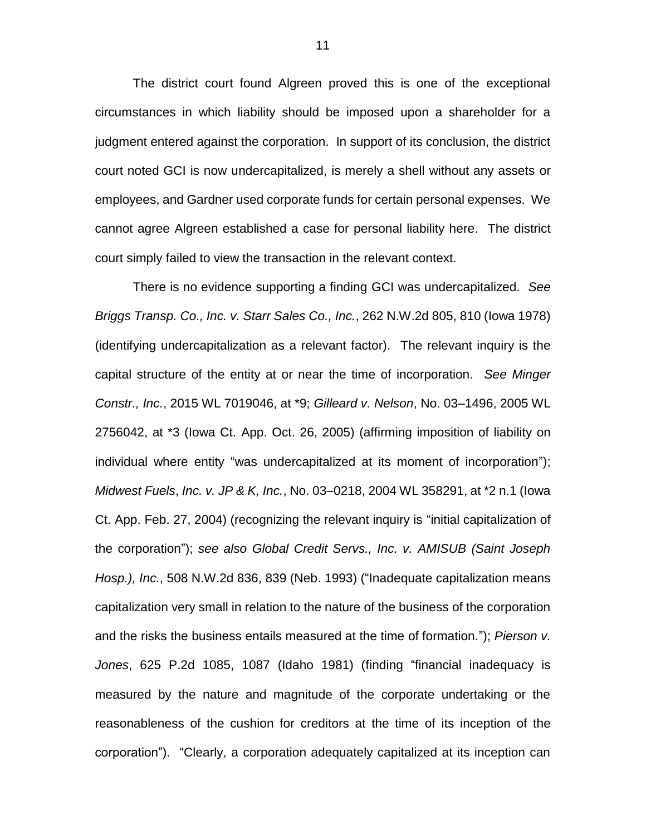The district court found Algreen proved this is one of the exceptional circumstances in which liability should be imposed upon a shareholder for a judgment entered against the corporation. In support of its conclusion, the district court noted GCI is now undercapitalized, is merely a shell without any assets or employees, and Gardner used corporate funds for certain personal expenses. We cannot agree Algreen established a case for personal liability here. The district court simply failed to view the transaction in the relevant context.

There is no evidence supporting a finding GCI was undercapitalized. *See Briggs Transp. Co., Inc. v. Starr Sales Co., Inc.*, 262 N.W.2d 805, 810 (Iowa 1978) (identifying undercapitalization as a relevant factor). The relevant inquiry is the capital structure of the entity at or near the time of incorporation. *See Minger Constr., Inc.*, 2015 WL 7019046, at \*9; *Gilleard v. Nelson*, No. 03–1496, 2005 WL 2756042, at \*3 (Iowa Ct. App. Oct. 26, 2005) (affirming imposition of liability on individual where entity "was undercapitalized at its moment of incorporation"); *Midwest Fuels*, *Inc. v. JP & K, Inc.*, No. 03–0218, 2004 WL 358291, at \*2 n.1 (Iowa Ct. App. Feb. 27, 2004) (recognizing the relevant inquiry is "initial capitalization of the corporation"); *see also Global Credit Servs., Inc. v. AMISUB (Saint Joseph Hosp.), Inc.*, 508 N.W.2d 836, 839 (Neb. 1993) ("Inadequate capitalization means capitalization very small in relation to the nature of the business of the corporation and the risks the business entails measured at the time of formation."); *Pierson v. Jones*, 625 P.2d 1085, 1087 (Idaho 1981) (finding "financial inadequacy is measured by the nature and magnitude of the corporate undertaking or the reasonableness of the cushion for creditors at the time of its inception of the corporation"). "Clearly, a corporation adequately capitalized at its inception can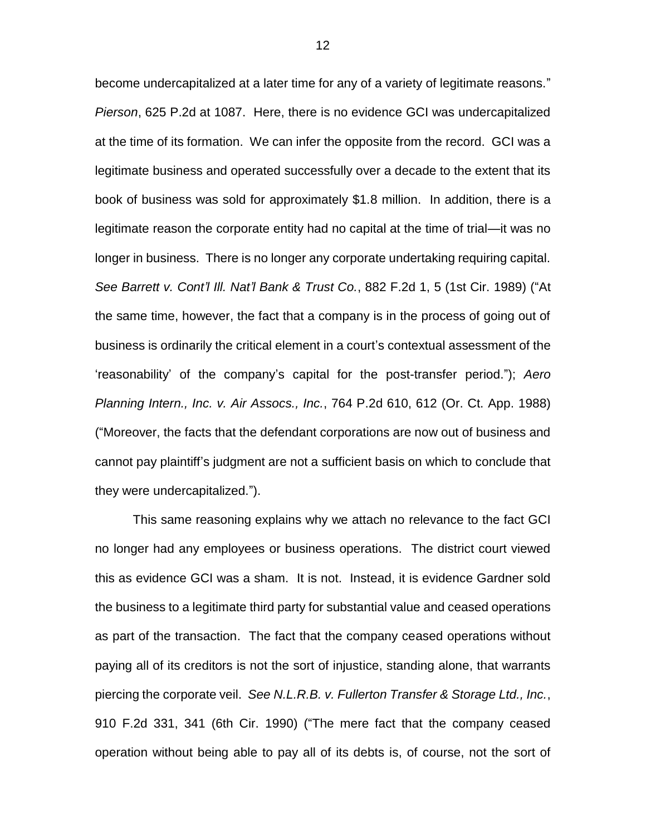become undercapitalized at a later time for any of a variety of legitimate reasons." *Pierson*, 625 P.2d at 1087. Here, there is no evidence GCI was undercapitalized at the time of its formation. We can infer the opposite from the record. GCI was a legitimate business and operated successfully over a decade to the extent that its book of business was sold for approximately \$1.8 million. In addition, there is a legitimate reason the corporate entity had no capital at the time of trial—it was no longer in business. There is no longer any corporate undertaking requiring capital. *See Barrett v. Cont'l Ill. Nat'l Bank & Trust Co.*, 882 F.2d 1, 5 (1st Cir. 1989) ("At the same time, however, the fact that a company is in the process of going out of business is ordinarily the critical element in a court's contextual assessment of the 'reasonability' of the company's capital for the post-transfer period."); *Aero Planning Intern., Inc. v. Air Assocs., Inc.*, 764 P.2d 610, 612 (Or. Ct. App. 1988) ("Moreover, the facts that the defendant corporations are now out of business and cannot pay plaintiff's judgment are not a sufficient basis on which to conclude that they were undercapitalized.").

This same reasoning explains why we attach no relevance to the fact GCI no longer had any employees or business operations. The district court viewed this as evidence GCI was a sham. It is not. Instead, it is evidence Gardner sold the business to a legitimate third party for substantial value and ceased operations as part of the transaction. The fact that the company ceased operations without paying all of its creditors is not the sort of injustice, standing alone, that warrants piercing the corporate veil. *See N.L.R.B. v. Fullerton Transfer & Storage Ltd., Inc.*, 910 F.2d 331, 341 (6th Cir. 1990) ("The mere fact that the company ceased operation without being able to pay all of its debts is, of course, not the sort of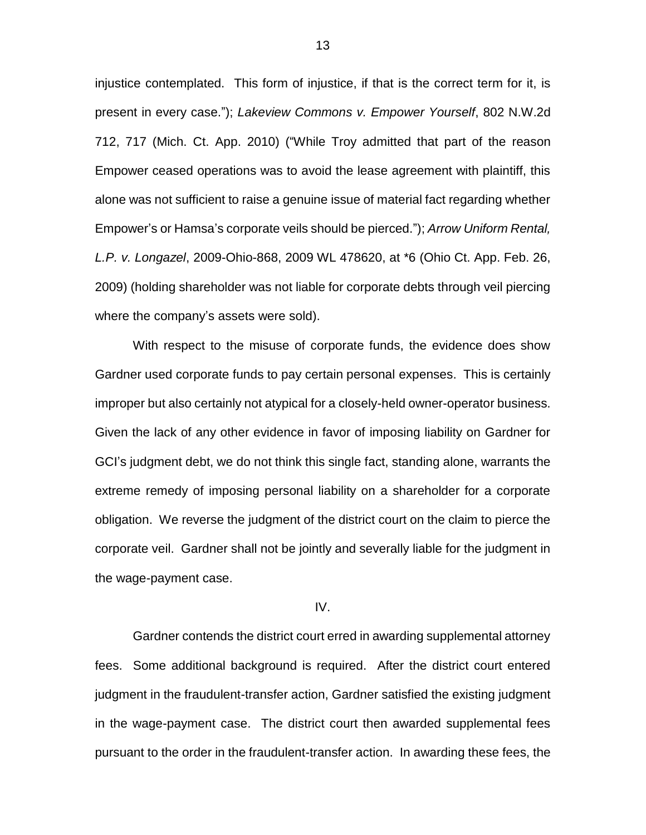injustice contemplated. This form of injustice, if that is the correct term for it, is present in every case."); *Lakeview Commons v. Empower Yourself*, 802 N.W.2d 712, 717 (Mich. Ct. App. 2010) ("While Troy admitted that part of the reason Empower ceased operations was to avoid the lease agreement with plaintiff, this alone was not sufficient to raise a genuine issue of material fact regarding whether Empower's or Hamsa's corporate veils should be pierced."); *Arrow Uniform Rental, L.P. v. Longazel*, 2009-Ohio-868, 2009 WL 478620, at \*6 (Ohio Ct. App. Feb. 26, 2009) (holding shareholder was not liable for corporate debts through veil piercing where the company's assets were sold).

With respect to the misuse of corporate funds, the evidence does show Gardner used corporate funds to pay certain personal expenses. This is certainly improper but also certainly not atypical for a closely-held owner-operator business. Given the lack of any other evidence in favor of imposing liability on Gardner for GCI's judgment debt, we do not think this single fact, standing alone, warrants the extreme remedy of imposing personal liability on a shareholder for a corporate obligation. We reverse the judgment of the district court on the claim to pierce the corporate veil. Gardner shall not be jointly and severally liable for the judgment in the wage-payment case.

### IV.

Gardner contends the district court erred in awarding supplemental attorney fees. Some additional background is required. After the district court entered judgment in the fraudulent-transfer action, Gardner satisfied the existing judgment in the wage-payment case. The district court then awarded supplemental fees pursuant to the order in the fraudulent-transfer action. In awarding these fees, the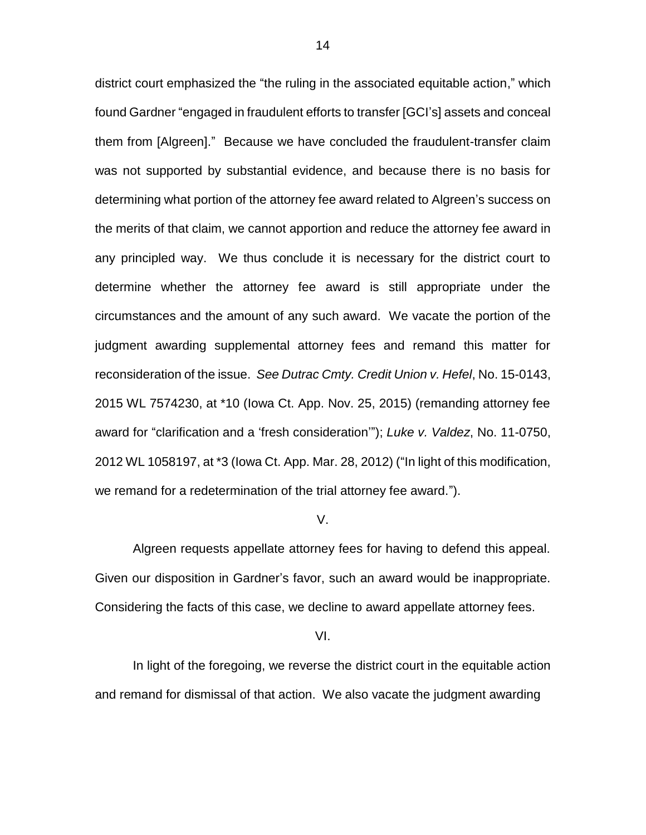district court emphasized the "the ruling in the associated equitable action," which found Gardner "engaged in fraudulent efforts to transfer [GCI's] assets and conceal them from [Algreen]." Because we have concluded the fraudulent-transfer claim was not supported by substantial evidence, and because there is no basis for determining what portion of the attorney fee award related to Algreen's success on the merits of that claim, we cannot apportion and reduce the attorney fee award in any principled way. We thus conclude it is necessary for the district court to determine whether the attorney fee award is still appropriate under the circumstances and the amount of any such award. We vacate the portion of the judgment awarding supplemental attorney fees and remand this matter for reconsideration of the issue. *See Dutrac Cmty. Credit Union v. Hefel*, No. 15-0143, 2015 WL 7574230, at \*10 (Iowa Ct. App. Nov. 25, 2015) (remanding attorney fee award for "clarification and a 'fresh consideration'"); *Luke v. Valdez*, No. 11-0750, 2012 WL 1058197, at \*3 (Iowa Ct. App. Mar. 28, 2012) ("In light of this modification, we remand for a redetermination of the trial attorney fee award.").

#### V.

Algreen requests appellate attorney fees for having to defend this appeal. Given our disposition in Gardner's favor, such an award would be inappropriate. Considering the facts of this case, we decline to award appellate attorney fees.

#### VI.

In light of the foregoing, we reverse the district court in the equitable action and remand for dismissal of that action. We also vacate the judgment awarding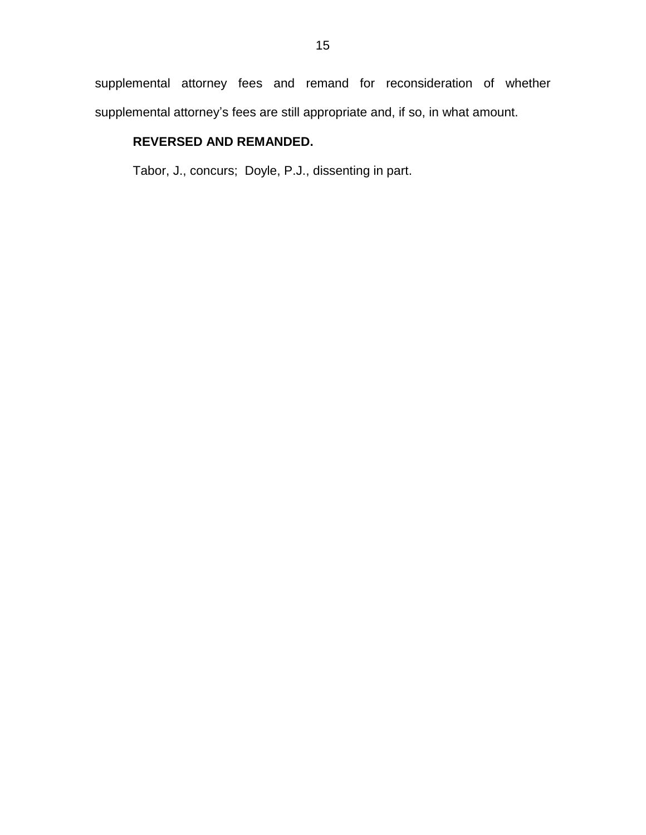supplemental attorney fees and remand for reconsideration of whether supplemental attorney's fees are still appropriate and, if so, in what amount.

# **REVERSED AND REMANDED.**

Tabor, J., concurs; Doyle, P.J., dissenting in part.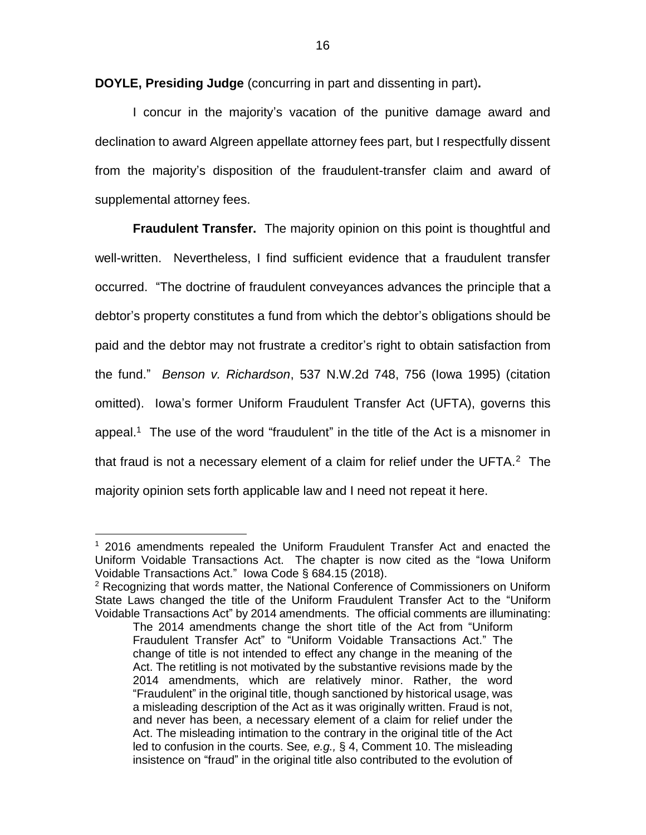**DOYLE, Presiding Judge** (concurring in part and dissenting in part)**.**

I concur in the majority's vacation of the punitive damage award and declination to award Algreen appellate attorney fees part, but I respectfully dissent from the majority's disposition of the fraudulent-transfer claim and award of supplemental attorney fees.

**Fraudulent Transfer.** The majority opinion on this point is thoughtful and well-written. Nevertheless, I find sufficient evidence that a fraudulent transfer occurred. "The doctrine of fraudulent conveyances advances the principle that a debtor's property constitutes a fund from which the debtor's obligations should be paid and the debtor may not frustrate a creditor's right to obtain satisfaction from the fund." *Benson v. Richardson*, 537 N.W.2d 748, 756 (Iowa 1995) (citation omitted). Iowa's former Uniform Fraudulent Transfer Act (UFTA), governs this appeal.<sup>1</sup> The use of the word "fraudulent" in the title of the Act is a misnomer in that fraud is not a necessary element of a claim for relief under the UFTA. $2$  The majority opinion sets forth applicable law and I need not repeat it here.

<sup>1</sup> 2016 amendments repealed the Uniform Fraudulent Transfer Act and enacted the Uniform Voidable Transactions Act. The chapter is now cited as the "Iowa Uniform Voidable Transactions Act." Iowa Code § 684.15 (2018).

 $2$  Recognizing that words matter, the National Conference of Commissioners on Uniform State Laws changed the title of the Uniform Fraudulent Transfer Act to the "Uniform Voidable Transactions Act" by 2014 amendments. The official comments are illuminating:

The 2014 amendments change the short title of the Act from "Uniform Fraudulent Transfer Act" to "Uniform Voidable Transactions Act." The change of title is not intended to effect any change in the meaning of the Act. The retitling is not motivated by the substantive revisions made by the 2014 amendments, which are relatively minor. Rather, the word "Fraudulent" in the original title, though sanctioned by historical usage, was a misleading description of the Act as it was originally written. Fraud is not, and never has been, a necessary element of a claim for relief under the Act. The misleading intimation to the contrary in the original title of the Act led to confusion in the courts. See*, e.g.,* § 4, Comment 10. The misleading insistence on "fraud" in the original title also contributed to the evolution of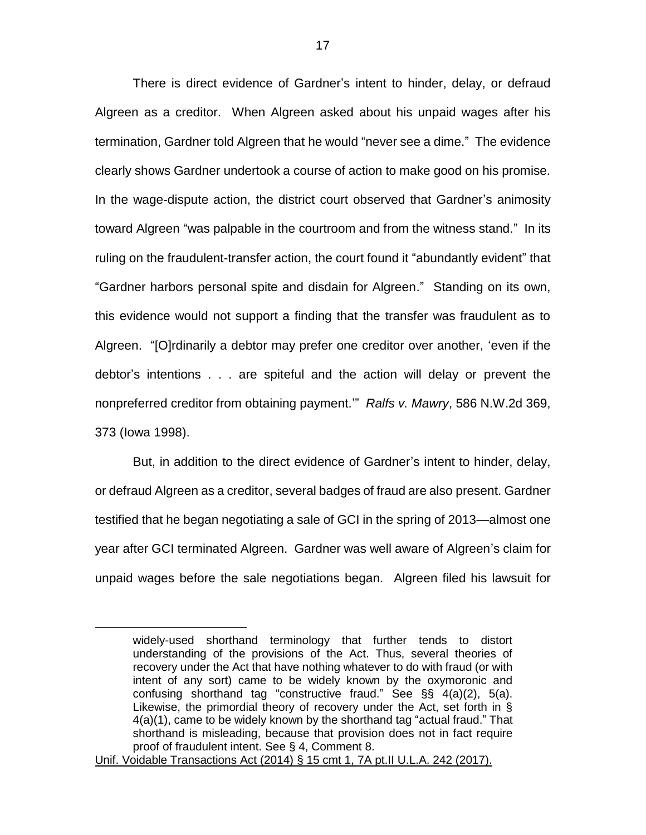There is direct evidence of Gardner's intent to hinder, delay, or defraud Algreen as a creditor. When Algreen asked about his unpaid wages after his termination, Gardner told Algreen that he would "never see a dime." The evidence clearly shows Gardner undertook a course of action to make good on his promise. In the wage-dispute action, the district court observed that Gardner's animosity toward Algreen "was palpable in the courtroom and from the witness stand." In its ruling on the fraudulent-transfer action, the court found it "abundantly evident" that "Gardner harbors personal spite and disdain for Algreen." Standing on its own, this evidence would not support a finding that the transfer was fraudulent as to Algreen. "[O]rdinarily a debtor may prefer one creditor over another, 'even if the debtor's intentions . . . are spiteful and the action will delay or prevent the nonpreferred creditor from obtaining payment.'" *Ralfs v. Mawry*, 586 N.W.2d 369, 373 (Iowa 1998).

But, in addition to the direct evidence of Gardner's intent to hinder, delay, or defraud Algreen as a creditor, several badges of fraud are also present. Gardner testified that he began negotiating a sale of GCI in the spring of 2013—almost one year after GCI terminated Algreen. Gardner was well aware of Algreen's claim for unpaid wages before the sale negotiations began. Algreen filed his lawsuit for

widely-used shorthand terminology that further tends to distort understanding of the provisions of the Act. Thus, several theories of recovery under the Act that have nothing whatever to do with fraud (or with intent of any sort) came to be widely known by the oxymoronic and confusing shorthand tag "constructive fraud." See §§ 4(a)(2), 5(a). Likewise, the primordial theory of recovery under the Act, set forth in § 4(a)(1), came to be widely known by the shorthand tag "actual fraud." That shorthand is misleading, because that provision does not in fact require proof of fraudulent intent. See § 4, Comment 8.

Unif. Voidable Transactions Act (2014) § 15 cmt 1, 7A pt.II U.L.A. 242 (2017).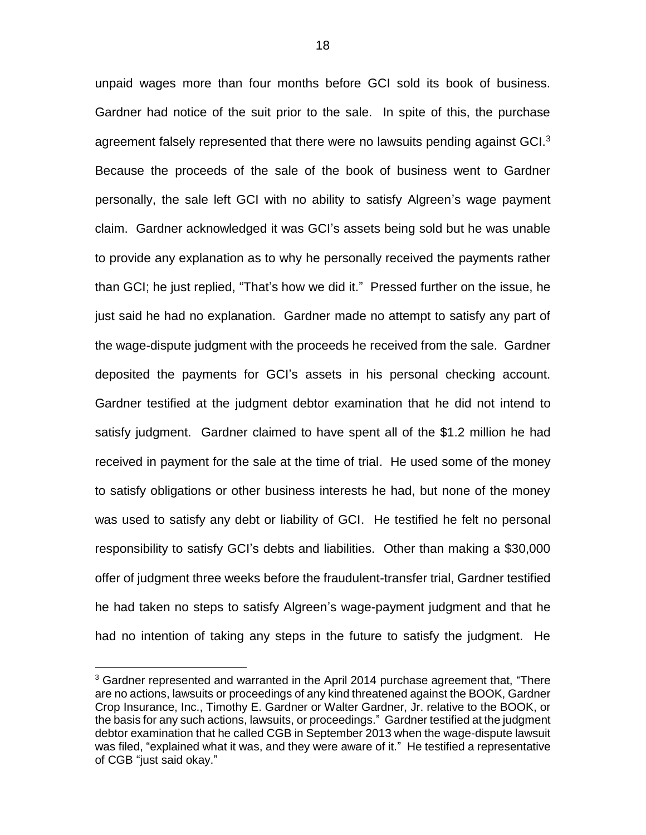unpaid wages more than four months before GCI sold its book of business. Gardner had notice of the suit prior to the sale. In spite of this, the purchase agreement falsely represented that there were no lawsuits pending against GCI.<sup>3</sup> Because the proceeds of the sale of the book of business went to Gardner personally, the sale left GCI with no ability to satisfy Algreen's wage payment claim. Gardner acknowledged it was GCI's assets being sold but he was unable to provide any explanation as to why he personally received the payments rather than GCI; he just replied, "That's how we did it." Pressed further on the issue, he just said he had no explanation. Gardner made no attempt to satisfy any part of the wage-dispute judgment with the proceeds he received from the sale. Gardner deposited the payments for GCI's assets in his personal checking account. Gardner testified at the judgment debtor examination that he did not intend to satisfy judgment. Gardner claimed to have spent all of the \$1.2 million he had received in payment for the sale at the time of trial. He used some of the money to satisfy obligations or other business interests he had, but none of the money was used to satisfy any debt or liability of GCI. He testified he felt no personal responsibility to satisfy GCI's debts and liabilities. Other than making a \$30,000 offer of judgment three weeks before the fraudulent-transfer trial, Gardner testified he had taken no steps to satisfy Algreen's wage-payment judgment and that he had no intention of taking any steps in the future to satisfy the judgment. He

 $3$  Gardner represented and warranted in the April 2014 purchase agreement that, "There are no actions, lawsuits or proceedings of any kind threatened against the BOOK, Gardner Crop Insurance, Inc., Timothy E. Gardner or Walter Gardner, Jr. relative to the BOOK, or the basis for any such actions, lawsuits, or proceedings." Gardner testified at the judgment debtor examination that he called CGB in September 2013 when the wage-dispute lawsuit was filed, "explained what it was, and they were aware of it." He testified a representative of CGB "just said okay."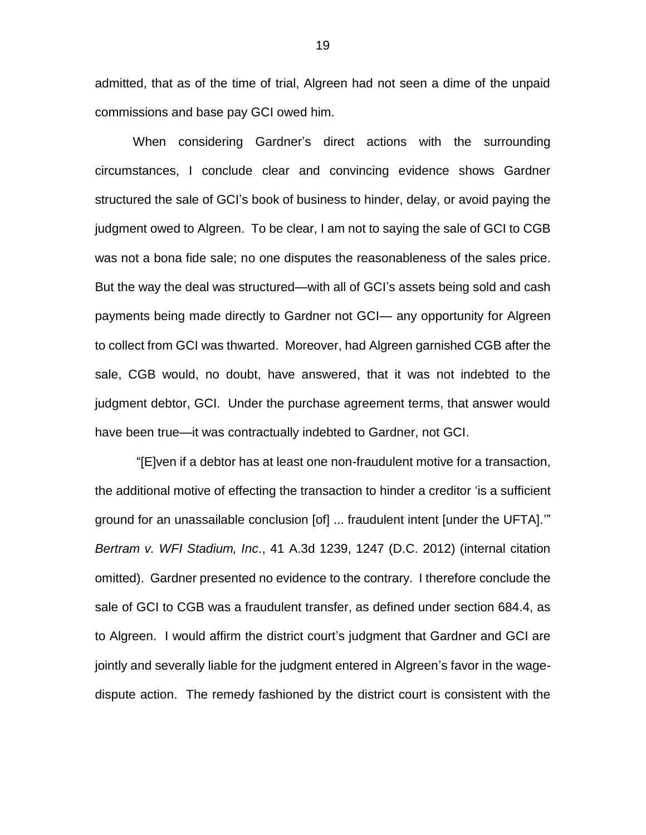admitted, that as of the time of trial, Algreen had not seen a dime of the unpaid commissions and base pay GCI owed him.

When considering Gardner's direct actions with the surrounding circumstances, I conclude clear and convincing evidence shows Gardner structured the sale of GCI's book of business to hinder, delay, or avoid paying the judgment owed to Algreen. To be clear, I am not to saying the sale of GCI to CGB was not a bona fide sale; no one disputes the reasonableness of the sales price. But the way the deal was structured—with all of GCI's assets being sold and cash payments being made directly to Gardner not GCI— any opportunity for Algreen to collect from GCI was thwarted. Moreover, had Algreen garnished CGB after the sale, CGB would, no doubt, have answered, that it was not indebted to the judgment debtor, GCI. Under the purchase agreement terms, that answer would have been true—it was contractually indebted to Gardner, not GCI.

"[E]ven if a debtor has at least one non-fraudulent motive for a transaction, the additional motive of effecting the transaction to hinder a creditor 'is a sufficient ground for an unassailable conclusion [of] ... fraudulent intent [under the UFTA].'" *Bertram v. WFI Stadium, Inc*., 41 A.3d 1239, 1247 (D.C. 2012) (internal citation omitted). Gardner presented no evidence to the contrary. I therefore conclude the sale of GCI to CGB was a fraudulent transfer, as defined under section 684.4, as to Algreen. I would affirm the district court's judgment that Gardner and GCI are jointly and severally liable for the judgment entered in Algreen's favor in the wagedispute action. The remedy fashioned by the district court is consistent with the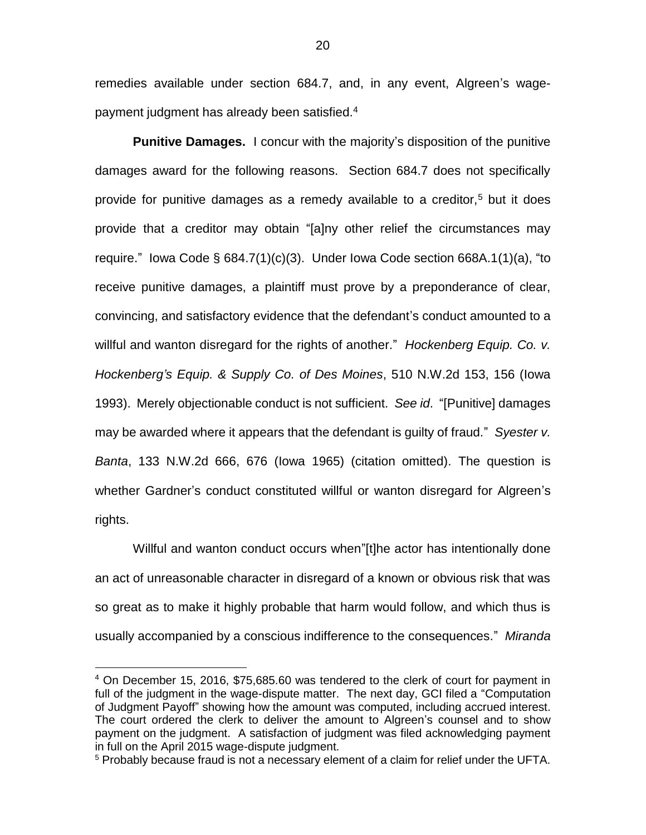remedies available under section 684.7, and, in any event, Algreen's wagepayment judgment has already been satisfied.<sup>4</sup>

**Punitive Damages.** I concur with the majority's disposition of the punitive damages award for the following reasons. Section 684.7 does not specifically provide for punitive damages as a remedy available to a creditor,<sup>5</sup> but it does provide that a creditor may obtain "[a]ny other relief the circumstances may require." Iowa Code § 684.7(1)(c)(3). Under Iowa Code section 668A.1(1)(a), "to receive punitive damages, a plaintiff must prove by a preponderance of clear, convincing, and satisfactory evidence that the defendant's conduct amounted to a willful and wanton disregard for the rights of another." *Hockenberg Equip. Co. v. Hockenberg's Equip. & Supply Co. of Des Moines*, 510 N.W.2d 153, 156 (Iowa 1993). Merely objectionable conduct is not sufficient. *See id*. "[Punitive] damages may be awarded where it appears that the defendant is guilty of fraud." *Syester v. Banta*, 133 N.W.2d 666, 676 (Iowa 1965) (citation omitted). The question is whether Gardner's conduct constituted willful or wanton disregard for Algreen's rights.

Willful and wanton conduct occurs when"[t]he actor has intentionally done an act of unreasonable character in disregard of a known or obvious risk that was so great as to make it highly probable that harm would follow, and which thus is usually accompanied by a conscious indifference to the consequences." *Miranda* 

<sup>4</sup> On December 15, 2016, \$75,685.60 was tendered to the clerk of court for payment in full of the judgment in the wage-dispute matter. The next day, GCI filed a "Computation of Judgment Payoff" showing how the amount was computed, including accrued interest. The court ordered the clerk to deliver the amount to Algreen's counsel and to show payment on the judgment. A satisfaction of judgment was filed acknowledging payment in full on the April 2015 wage-dispute judgment.

<sup>&</sup>lt;sup>5</sup> Probably because fraud is not a necessary element of a claim for relief under the UFTA.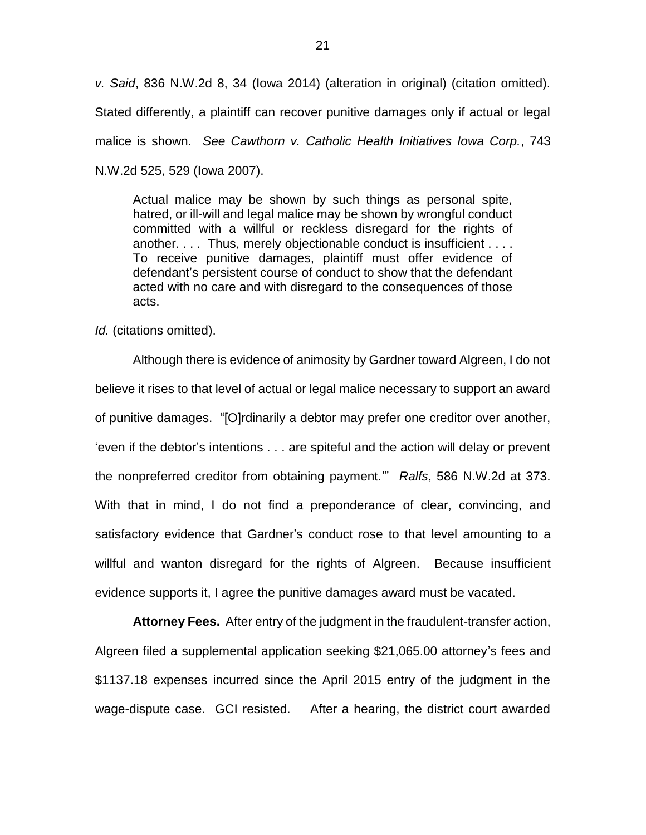*v. Said*, 836 N.W.2d 8, 34 (Iowa 2014) (alteration in original) (citation omitted). Stated differently, a plaintiff can recover punitive damages only if actual or legal malice is shown. *See Cawthorn v. Catholic Health Initiatives Iowa Corp.*, 743 N.W.2d 525, 529 (Iowa 2007).

Actual malice may be shown by such things as personal spite, hatred, or ill-will and legal malice may be shown by wrongful conduct committed with a willful or reckless disregard for the rights of another. . . . Thus, merely objectionable conduct is insufficient . . . . To receive punitive damages, plaintiff must offer evidence of defendant's persistent course of conduct to show that the defendant acted with no care and with disregard to the consequences of those acts.

*Id.* (citations omitted).

Although there is evidence of animosity by Gardner toward Algreen, I do not believe it rises to that level of actual or legal malice necessary to support an award of punitive damages. "[O]rdinarily a debtor may prefer one creditor over another, 'even if the debtor's intentions . . . are spiteful and the action will delay or prevent the nonpreferred creditor from obtaining payment.'" *Ralfs*, 586 N.W.2d at 373. With that in mind, I do not find a preponderance of clear, convincing, and satisfactory evidence that Gardner's conduct rose to that level amounting to a willful and wanton disregard for the rights of Algreen. Because insufficient evidence supports it, I agree the punitive damages award must be vacated.

**Attorney Fees.** After entry of the judgment in the fraudulent-transfer action, Algreen filed a supplemental application seeking \$21,065.00 attorney's fees and \$1137.18 expenses incurred since the April 2015 entry of the judgment in the wage-dispute case. GCI resisted. After a hearing, the district court awarded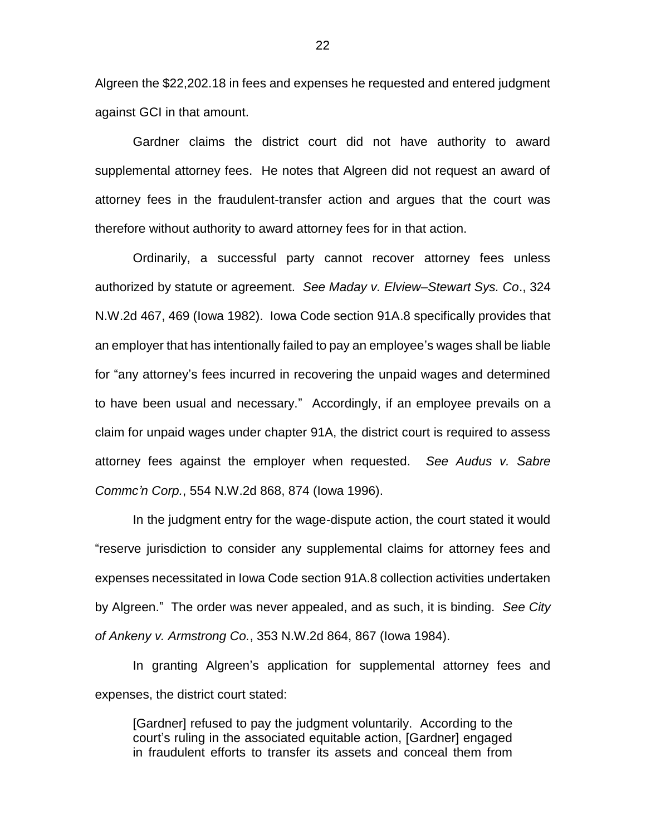Algreen the \$22,202.18 in fees and expenses he requested and entered judgment against GCI in that amount.

Gardner claims the district court did not have authority to award supplemental attorney fees. He notes that Algreen did not request an award of attorney fees in the fraudulent-transfer action and argues that the court was therefore without authority to award attorney fees for in that action.

Ordinarily, a successful party cannot recover attorney fees unless authorized by statute or agreement. *See Maday v. Elview–Stewart Sys. Co*., 324 N.W.2d 467, 469 (Iowa 1982). Iowa Code section 91A.8 specifically provides that an employer that has intentionally failed to pay an employee's wages shall be liable for "any attorney's fees incurred in recovering the unpaid wages and determined to have been usual and necessary." Accordingly, if an employee prevails on a claim for unpaid wages under chapter 91A, the district court is required to assess attorney fees against the employer when requested. *See Audus v. Sabre Commc'n Corp.*, 554 N.W.2d 868, 874 (Iowa 1996).

In the judgment entry for the wage-dispute action, the court stated it would "reserve jurisdiction to consider any supplemental claims for attorney fees and expenses necessitated in Iowa Code section 91A.8 collection activities undertaken by Algreen." The order was never appealed, and as such, it is binding. *See City of Ankeny v. Armstrong Co.*, 353 N.W.2d 864, 867 (Iowa 1984).

In granting Algreen's application for supplemental attorney fees and expenses, the district court stated:

[Gardner] refused to pay the judgment voluntarily. According to the court's ruling in the associated equitable action, [Gardner] engaged in fraudulent efforts to transfer its assets and conceal them from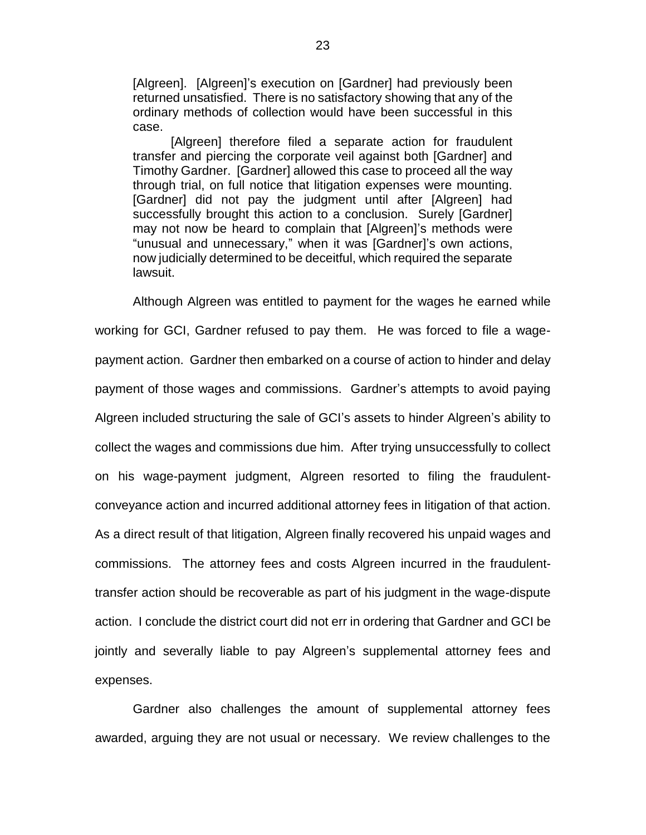[Algreen]. [Algreen]'s execution on [Gardner] had previously been returned unsatisfied. There is no satisfactory showing that any of the ordinary methods of collection would have been successful in this case.

[Algreen] therefore filed a separate action for fraudulent transfer and piercing the corporate veil against both [Gardner] and Timothy Gardner. [Gardner] allowed this case to proceed all the way through trial, on full notice that litigation expenses were mounting. [Gardner] did not pay the judgment until after [Algreen] had successfully brought this action to a conclusion. Surely [Gardner] may not now be heard to complain that [Algreen]'s methods were "unusual and unnecessary," when it was [Gardner]'s own actions, now judicially determined to be deceitful, which required the separate lawsuit.

Although Algreen was entitled to payment for the wages he earned while working for GCI, Gardner refused to pay them. He was forced to file a wagepayment action. Gardner then embarked on a course of action to hinder and delay payment of those wages and commissions. Gardner's attempts to avoid paying Algreen included structuring the sale of GCI's assets to hinder Algreen's ability to collect the wages and commissions due him. After trying unsuccessfully to collect on his wage-payment judgment, Algreen resorted to filing the fraudulentconveyance action and incurred additional attorney fees in litigation of that action. As a direct result of that litigation, Algreen finally recovered his unpaid wages and commissions. The attorney fees and costs Algreen incurred in the fraudulenttransfer action should be recoverable as part of his judgment in the wage-dispute action. I conclude the district court did not err in ordering that Gardner and GCI be jointly and severally liable to pay Algreen's supplemental attorney fees and expenses.

Gardner also challenges the amount of supplemental attorney fees awarded, arguing they are not usual or necessary. We review challenges to the